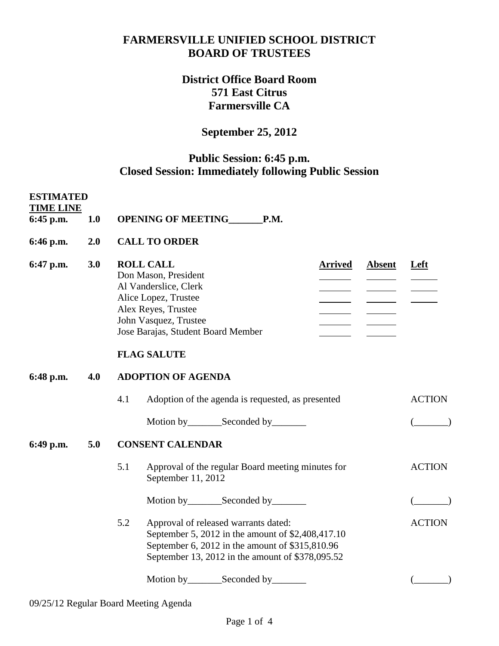#### **FARMERSVILLE UNIFIED SCHOOL DISTRICT BOARD OF TRUSTEES**

## **District Office Board Room 571 East Citrus Farmersville CA**

# **September 25, 2012**

### **Public Session: 6:45 p.m. Closed Session: Immediately following Public Session**

| <b>ESTIMATED</b><br><b>TIME LINE</b><br>$6:45$ p.m. | 1.0 | OPENING OF MEETING________P.M.                                                                                                                                                                                                           |                        |  |  |  |
|-----------------------------------------------------|-----|------------------------------------------------------------------------------------------------------------------------------------------------------------------------------------------------------------------------------------------|------------------------|--|--|--|
| 6:46 p.m.                                           | 2.0 | <b>CALL TO ORDER</b>                                                                                                                                                                                                                     |                        |  |  |  |
| 6:47 p.m.                                           | 3.0 | <b>ROLL CALL</b><br><b>Arrived</b><br><b>Absent</b><br>Don Mason, President<br>Al Vanderslice, Clerk<br>Alice Lopez, Trustee<br>Alex Reyes, Trustee<br>John Vasquez, Trustee<br>Jose Barajas, Student Board Member<br><b>FLAG SALUTE</b> |                        |  |  |  |
| 6:48 p.m.                                           | 4.0 | <b>ADOPTION OF AGENDA</b>                                                                                                                                                                                                                |                        |  |  |  |
|                                                     |     | 4.1<br>Adoption of the agenda is requested, as presented<br>Motion by __________ Seconded by _________                                                                                                                                   | <b>ACTION</b><br>$($ ) |  |  |  |
| 6:49 p.m.                                           | 5.0 | <b>CONSENT CALENDAR</b>                                                                                                                                                                                                                  |                        |  |  |  |
|                                                     |     | 5.1<br>Approval of the regular Board meeting minutes for<br>September 11, 2012                                                                                                                                                           | <b>ACTION</b>          |  |  |  |
|                                                     |     | Motion by __________ Seconded by _________                                                                                                                                                                                               |                        |  |  |  |
|                                                     |     | 5.2<br>Approval of released warrants dated:<br>September 5, 2012 in the amount of \$2,408,417.10<br>September 6, 2012 in the amount of \$315,810.96<br>September 13, 2012 in the amount of \$378,095.52                                  | <b>ACTION</b>          |  |  |  |
|                                                     |     |                                                                                                                                                                                                                                          |                        |  |  |  |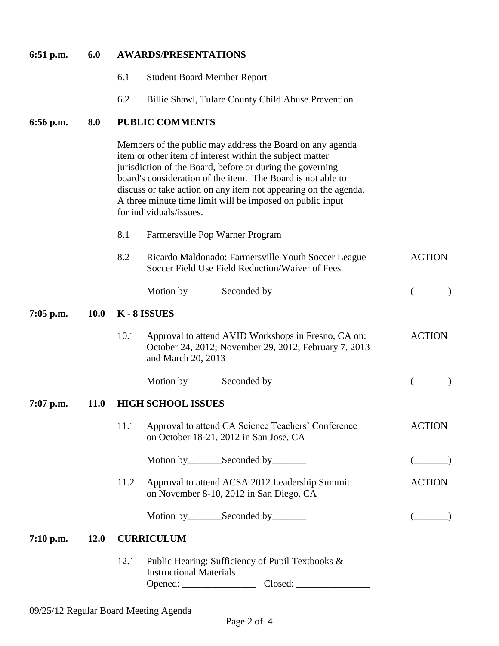| $6:51$ p.m. | 6.0         | <b>AWARDS/PRESENTATIONS</b>                                                                                                                                                                                                                                                                                                                                                                                  |               |  |  |
|-------------|-------------|--------------------------------------------------------------------------------------------------------------------------------------------------------------------------------------------------------------------------------------------------------------------------------------------------------------------------------------------------------------------------------------------------------------|---------------|--|--|
|             |             | 6.1<br><b>Student Board Member Report</b>                                                                                                                                                                                                                                                                                                                                                                    |               |  |  |
|             |             | 6.2<br>Billie Shawl, Tulare County Child Abuse Prevention                                                                                                                                                                                                                                                                                                                                                    |               |  |  |
| 6:56 p.m.   | 8.0         | <b>PUBLIC COMMENTS</b>                                                                                                                                                                                                                                                                                                                                                                                       |               |  |  |
|             |             | Members of the public may address the Board on any agenda<br>item or other item of interest within the subject matter<br>jurisdiction of the Board, before or during the governing<br>board's consideration of the item. The Board is not able to<br>discuss or take action on any item not appearing on the agenda.<br>A three minute time limit will be imposed on public input<br>for individuals/issues. |               |  |  |
|             |             | 8.1<br>Farmersville Pop Warner Program                                                                                                                                                                                                                                                                                                                                                                       |               |  |  |
|             |             | 8.2<br>Ricardo Maldonado: Farmersville Youth Soccer League<br>Soccer Field Use Field Reduction/Waiver of Fees                                                                                                                                                                                                                                                                                                | <b>ACTION</b> |  |  |
|             |             | Motion by __________ Seconded by _________                                                                                                                                                                                                                                                                                                                                                                   |               |  |  |
| $7:05$ p.m. | <b>10.0</b> | K-8 ISSUES                                                                                                                                                                                                                                                                                                                                                                                                   |               |  |  |
|             |             | 10.1<br>Approval to attend AVID Workshops in Fresno, CA on:<br>October 24, 2012; November 29, 2012, February 7, 2013<br>and March 20, 2013                                                                                                                                                                                                                                                                   | <b>ACTION</b> |  |  |
|             |             |                                                                                                                                                                                                                                                                                                                                                                                                              |               |  |  |
| $7:07$ p.m. | <b>11.0</b> | <b>HIGH SCHOOL ISSUES</b>                                                                                                                                                                                                                                                                                                                                                                                    |               |  |  |
|             |             | 11.1<br>Approval to attend CA Science Teachers' Conference<br>on October 18-21, 2012 in San Jose, CA                                                                                                                                                                                                                                                                                                         | <b>ACTION</b> |  |  |
|             |             | Motion by __________ Seconded by _________                                                                                                                                                                                                                                                                                                                                                                   |               |  |  |
|             |             | 11.2<br>Approval to attend ACSA 2012 Leadership Summit<br>on November 8-10, 2012 in San Diego, CA                                                                                                                                                                                                                                                                                                            | <b>ACTION</b> |  |  |
|             |             | Motion by__________Seconded by__________                                                                                                                                                                                                                                                                                                                                                                     |               |  |  |
| $7:10$ p.m. | <b>12.0</b> | <b>CURRICULUM</b>                                                                                                                                                                                                                                                                                                                                                                                            |               |  |  |
|             |             | 12.1<br>Public Hearing: Sufficiency of Pupil Textbooks &<br><b>Instructional Materials</b>                                                                                                                                                                                                                                                                                                                   |               |  |  |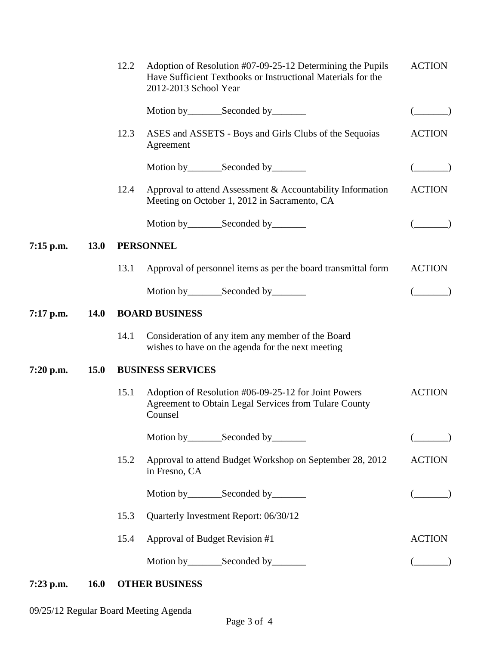|             |             | 12.2                  | Adoption of Resolution #07-09-25-12 Determining the Pupils<br>Have Sufficient Textbooks or Instructional Materials for the<br>2012-2013 School Year | <b>ACTION</b> |  |  |  |  |
|-------------|-------------|-----------------------|-----------------------------------------------------------------------------------------------------------------------------------------------------|---------------|--|--|--|--|
|             |             |                       | Motion by __________ Seconded by _________                                                                                                          |               |  |  |  |  |
|             |             | 12.3                  | ASES and ASSETS - Boys and Girls Clubs of the Sequoias<br>Agreement                                                                                 | <b>ACTION</b> |  |  |  |  |
|             |             |                       | Motion by __________ Seconded by _________                                                                                                          |               |  |  |  |  |
|             |             | 12.4                  | Approval to attend Assessment & Accountability Information<br>Meeting on October 1, 2012 in Sacramento, CA                                          | <b>ACTION</b> |  |  |  |  |
|             |             |                       | Motion by__________Seconded by_________                                                                                                             |               |  |  |  |  |
| $7:15$ p.m. | 13.0        |                       | <b>PERSONNEL</b>                                                                                                                                    |               |  |  |  |  |
|             |             | 13.1                  | Approval of personnel items as per the board transmittal form                                                                                       | <b>ACTION</b> |  |  |  |  |
|             |             |                       | Motion by__________Seconded by_________                                                                                                             |               |  |  |  |  |
| $7:17$ p.m. | <b>14.0</b> | <b>BOARD BUSINESS</b> |                                                                                                                                                     |               |  |  |  |  |
|             |             | 14.1                  | Consideration of any item any member of the Board<br>wishes to have on the agenda for the next meeting                                              |               |  |  |  |  |
| $7:20$ p.m. | <b>15.0</b> |                       | <b>BUSINESS SERVICES</b>                                                                                                                            |               |  |  |  |  |
|             |             | 15.1                  | Adoption of Resolution #06-09-25-12 for Joint Powers<br>Agreement to Obtain Legal Services from Tulare County<br>Counsel                            | <b>ACTION</b> |  |  |  |  |
|             |             |                       |                                                                                                                                                     |               |  |  |  |  |
|             |             | 15.2                  | Approval to attend Budget Workshop on September 28, 2012<br>in Fresno, CA                                                                           | <b>ACTION</b> |  |  |  |  |
|             |             |                       | Motion by __________ Seconded by _________                                                                                                          |               |  |  |  |  |
|             |             | 15.3                  |                                                                                                                                                     |               |  |  |  |  |
|             |             | 15.4                  | <b>ACTION</b>                                                                                                                                       |               |  |  |  |  |
|             |             |                       | Motion by__________Seconded by__________                                                                                                            |               |  |  |  |  |
|             |             |                       |                                                                                                                                                     |               |  |  |  |  |

# **7:23 p.m. 16.0 OTHER BUSINESS**